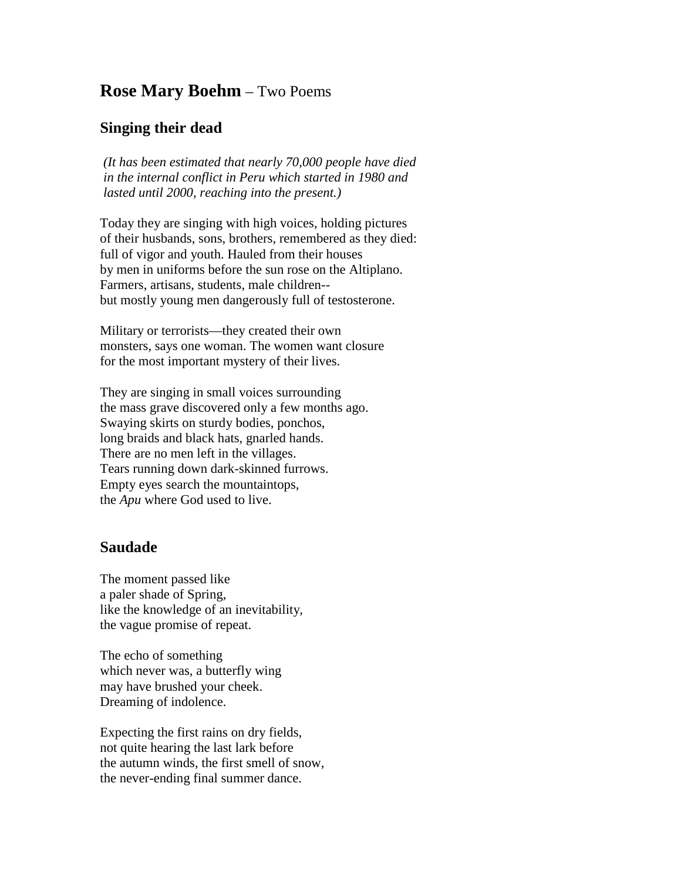## **Rose Mary Boehm** – Two Poems

## **Singing their dead**

*(It has been estimated that nearly 70,000 people have died in the internal conflict in Peru which started in 1980 and lasted until 2000, reaching into the present.)*

Today they are singing with high voices, holding pictures of their husbands, sons, brothers, remembered as they died: full of vigor and youth. Hauled from their houses by men in uniforms before the sun rose on the Altiplano. Farmers, artisans, students, male children- but mostly young men dangerously full of testosterone.

Military or terrorists—they created their own monsters, says one woman. The women want closure for the most important mystery of their lives.

They are singing in small voices surrounding the mass grave discovered only a few months ago. Swaying skirts on sturdy bodies, ponchos, long braids and black hats, gnarled hands. There are no men left in the villages. Tears running down dark-skinned furrows. Empty eyes search the mountaintops, the *Apu* where God used to live.

## **Saudade**

The moment passed like a paler shade of Spring, like the knowledge of an inevitability, the vague promise of repeat.

The echo of something which never was, a butterfly wing may have brushed your cheek. Dreaming of indolence.

Expecting the first rains on dry fields, not quite hearing the last lark before the autumn winds, the first smell of snow, the never-ending final summer dance.